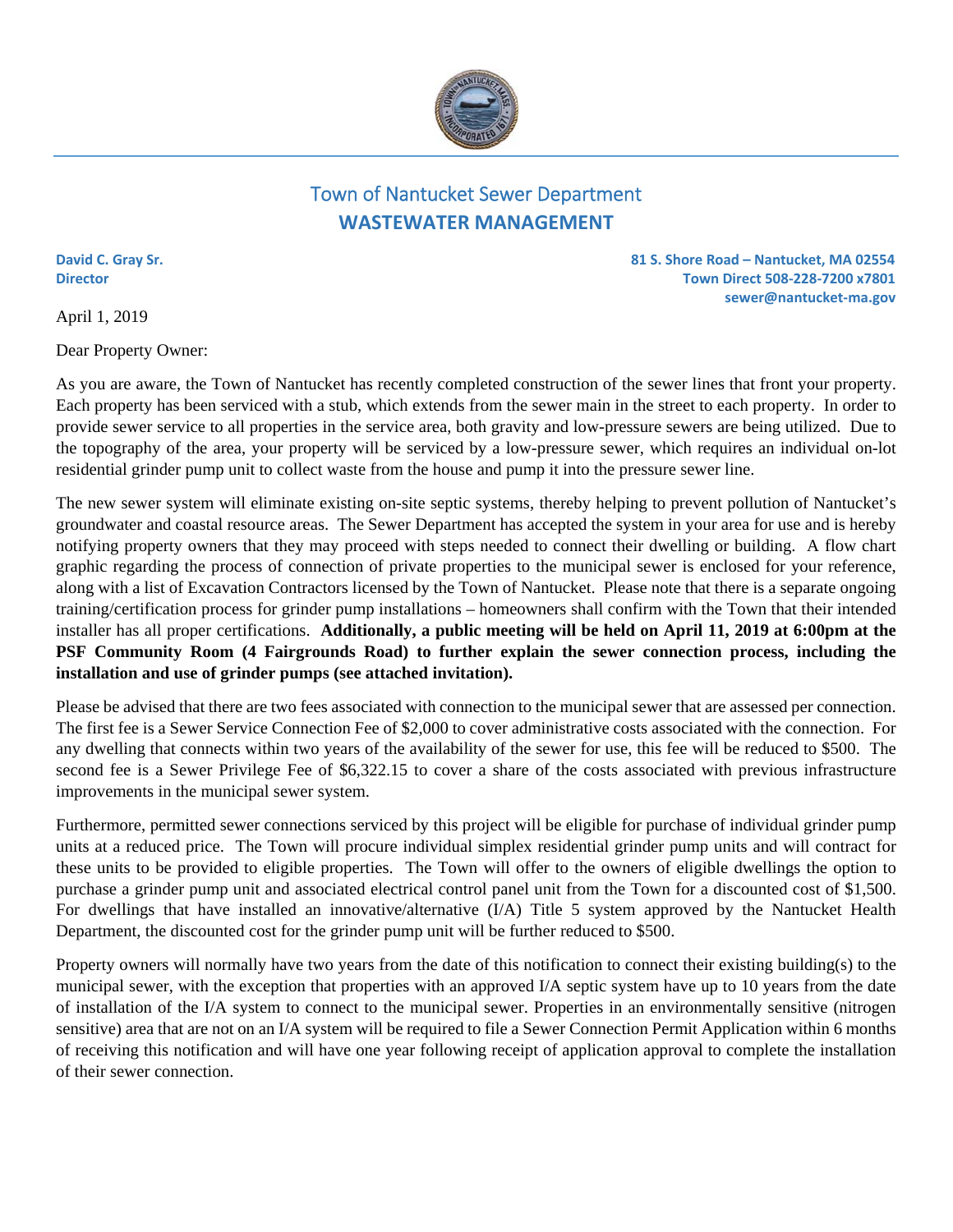

## Town of Nantucket Sewer Department **WASTEWATER MANAGEMENT**

April 1, 2019

Dear Property Owner:

**David C. Gray Sr. 81 S. Shore Road – Nantucket, MA 02554 Director Town Direct 508‐228‐7200 x7801 sewer@nantucket‐ma.gov** 

As you are aware, the Town of Nantucket has recently completed construction of the sewer lines that front your property. Each property has been serviced with a stub, which extends from the sewer main in the street to each property. In order to provide sewer service to all properties in the service area, both gravity and low-pressure sewers are being utilized. Due to the topography of the area, your property will be serviced by a low-pressure sewer, which requires an individual on-lot residential grinder pump unit to collect waste from the house and pump it into the pressure sewer line.

The new sewer system will eliminate existing on-site septic systems, thereby helping to prevent pollution of Nantucket's groundwater and coastal resource areas. The Sewer Department has accepted the system in your area for use and is hereby notifying property owners that they may proceed with steps needed to connect their dwelling or building. A flow chart graphic regarding the process of connection of private properties to the municipal sewer is enclosed for your reference, along with a list of Excavation Contractors licensed by the Town of Nantucket. Please note that there is a separate ongoing training/certification process for grinder pump installations – homeowners shall confirm with the Town that their intended installer has all proper certifications. **Additionally, a public meeting will be held on April 11, 2019 at 6:00pm at the PSF Community Room (4 Fairgrounds Road) to further explain the sewer connection process, including the installation and use of grinder pumps (see attached invitation).**

Please be advised that there are two fees associated with connection to the municipal sewer that are assessed per connection. The first fee is a Sewer Service Connection Fee of \$2,000 to cover administrative costs associated with the connection. For any dwelling that connects within two years of the availability of the sewer for use, this fee will be reduced to \$500. The second fee is a Sewer Privilege Fee of \$6,322.15 to cover a share of the costs associated with previous infrastructure improvements in the municipal sewer system.

Furthermore, permitted sewer connections serviced by this project will be eligible for purchase of individual grinder pump units at a reduced price. The Town will procure individual simplex residential grinder pump units and will contract for these units to be provided to eligible properties. The Town will offer to the owners of eligible dwellings the option to purchase a grinder pump unit and associated electrical control panel unit from the Town for a discounted cost of \$1,500. For dwellings that have installed an innovative/alternative (I/A) Title 5 system approved by the Nantucket Health Department, the discounted cost for the grinder pump unit will be further reduced to \$500.

Property owners will normally have two years from the date of this notification to connect their existing building(s) to the municipal sewer, with the exception that properties with an approved I/A septic system have up to 10 years from the date of installation of the I/A system to connect to the municipal sewer. Properties in an environmentally sensitive (nitrogen sensitive) area that are not on an I/A system will be required to file a Sewer Connection Permit Application within 6 months of receiving this notification and will have one year following receipt of application approval to complete the installation of their sewer connection.